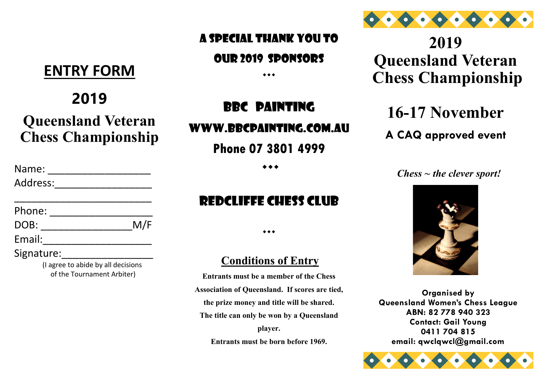#### A Special Thank you To

#### Our 2019 sponsors

**2019 Queensland Veteran Chess Championship**

# **16-17 November**

## **A CAQ approved event**

*Chess ~ the clever sport!*



**Organised by Queensland Women's Chess League ABN: 82 778 940 323 Contact: Gail Young 0411 704 815 email: qwclqwcl@gmail.com**



# **ENTRY FORM**

# **2019**

# **Queensland Veteran Chess Championship**

| Name:                                                            |     |
|------------------------------------------------------------------|-----|
| Address:                                                         |     |
| Phone:                                                           |     |
| DOB:                                                             | M/F |
| Email:                                                           |     |
| Signature:                                                       |     |
| (I agree to abide by all decisions<br>of the Tournament Arbiter) |     |

## $\bullet\bullet\bullet$

# BBC painting

### Www.bbcpainting.com.au

**Phone 07 3801 4999**

 $\leftrightarrow$ 

# Redcliffe Chess Club

 $\bullet\bullet\bullet$ 

#### **Conditions of Entry**

**Entrants must be a member of the Chess Association of Queensland. If scores are tied, the prize money and title will be shared. The title can only be won by a Queensland player. Entrants must be born before 1969.**